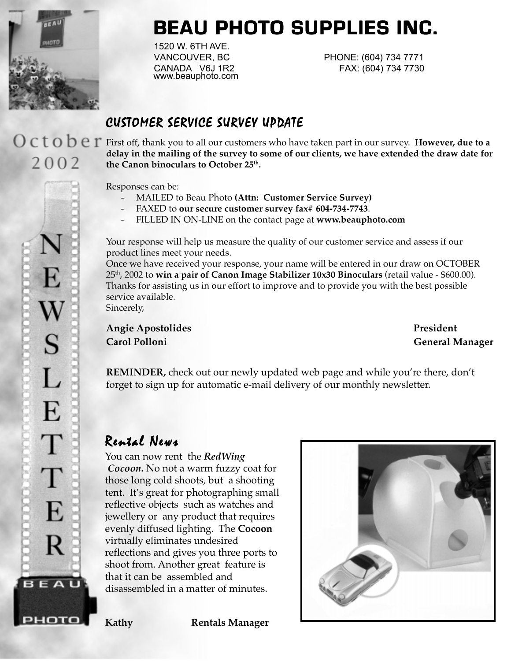

2002

**BEAU PHOTO SUPPLIES INC. BEAU PHOTO INC. BEAU PHOTO SUPPLIES INC.**

1520 W. 6TH AVE. www.beauphoto.com

VANCOUVER, BC PHONE: (604) 734 7771 CANADA V6J 1R2 FAX: (604) 734 7730

# CUSTOMER SERVICE SURVEY UPDATE

First off, thank you to all our customers who have taken part in our survey. **However, due to a delay in the mailing of the survey to some of our clients, we have extended the draw date for** the Canon binoculars to October 25<sup>th</sup>.

Responses can be:

- MAILED to Beau Photo **(Attn: Customer Service Survey)**
- FAXED to **our secure customer survey fax# 604-734-7743**.
- FILLED IN ON-LINE on the contact page at **www.beauphoto.com**

Your response will help us measure the quality of our customer service and assess if our product lines meet your needs.

Once we have received your response, your name will be entered in our draw on OCTOBER 25th, 2002 to **win a pair of Canon Image Stabilizer 10x30 Binoculars** (retail value - \$600.00). Thanks for assisting us in our effort to improve and to provide you with the best possible service available.

Sincerely,

Angie Apostolides **President Carol Polloni General Manager**

**REMINDER**, check out our newly updated web page and while you're there, don't forget to sign up for automatic e-mail delivery of our monthly newsletter.

# Rental News

You can now rent the *RedWing Cocoon.* No not a warm fuzzy coat for those long cold shoots, but a shooting tent.It's great for photographing small reflective objects such as watches and jewellery or any product that requires evenly diffused lighting. The **Cocoon** virtually eliminates undesired reflections and gives you three ports to shoot from. Another great feature is that it can be assembled and disassembled in a matter of minutes.



E W<br>S L E T T E R BEAU рното

**Kathy Rentals Manager**